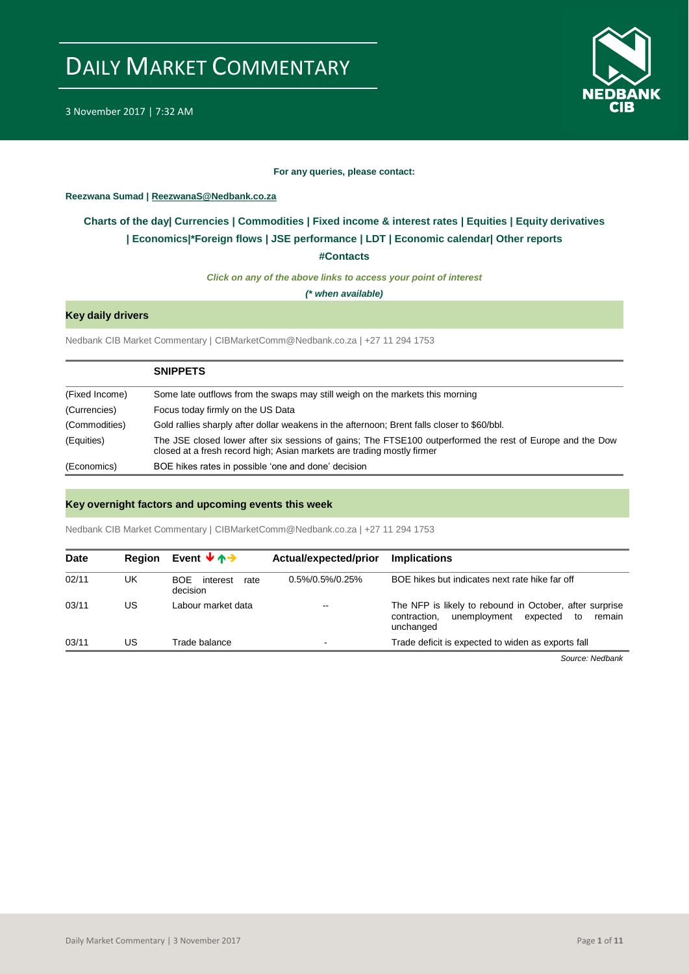

3 November 2017 | 7:32 AM

#### **For any queries, please contact:**

<span id="page-0-0"></span>**Reezwana Sumad | ReezwanaS@Nedbank.co.za**

### **Charts of the day| [Currencies](#page-2-0) [| Commodities](#page-3-0) | [Fixed income & interest rates](#page-1-0) | [Equities](#page-4-0) | Equity derivatives | [Economics|\\*](#page-7-0)Foreign flows [| JSE performance](#page-4-1) | [LDT](#page-5-0) | [Economic calendar|](#page-8-0) Other reports**

**[#Contacts](#page-9-0)**

*Click on any of the above links to access your point of interest*

*(\* when available)*

#### **Key daily drivers**

Nedbank CIB Market Commentary | CIBMarketComm@Nedbank.co.za | +27 11 294 1753

|                | <b>SNIPPETS</b>                                                                                                                                                                     |
|----------------|-------------------------------------------------------------------------------------------------------------------------------------------------------------------------------------|
| (Fixed Income) | Some late outflows from the swaps may still weigh on the markets this morning                                                                                                       |
| (Currencies)   | Focus today firmly on the US Data                                                                                                                                                   |
| (Commodities)  | Gold rallies sharply after dollar weakens in the afternoon; Brent falls closer to \$60/bbl.                                                                                         |
| (Equities)     | The JSE closed lower after six sessions of gains; The FTSE100 outperformed the rest of Europe and the Dow<br>closed at a fresh record high; Asian markets are trading mostly firmer |
| (Economics)    | BOE hikes rates in possible 'one and done' decision                                                                                                                                 |

#### **Key overnight factors and upcoming events this week**

Nedbank CIB Market Commentary | CIBMarketComm@Nedbank.co.za | +27 11 294 1753

| <b>Date</b> | <b>Region</b> | Event $\forall$ $\land \rightarrow$  | Actual/expected/prior | <b>Implications</b>                                                                                                              |
|-------------|---------------|--------------------------------------|-----------------------|----------------------------------------------------------------------------------------------------------------------------------|
| 02/11       | UK            | BOF.<br>interest<br>rate<br>decision | 0.5%/0.5%/0.25%       | BOE hikes but indicates next rate hike far off                                                                                   |
| 03/11       | US            | Labour market data                   | $\sim$ $\sim$         | The NFP is likely to rebound in October, after surprise<br>unemployment<br>expected<br>contraction,<br>to<br>remain<br>unchanged |
| 03/11       | US            | Trade balance                        | $\blacksquare$        | Trade deficit is expected to widen as exports fall                                                                               |

*Source: Nedbank*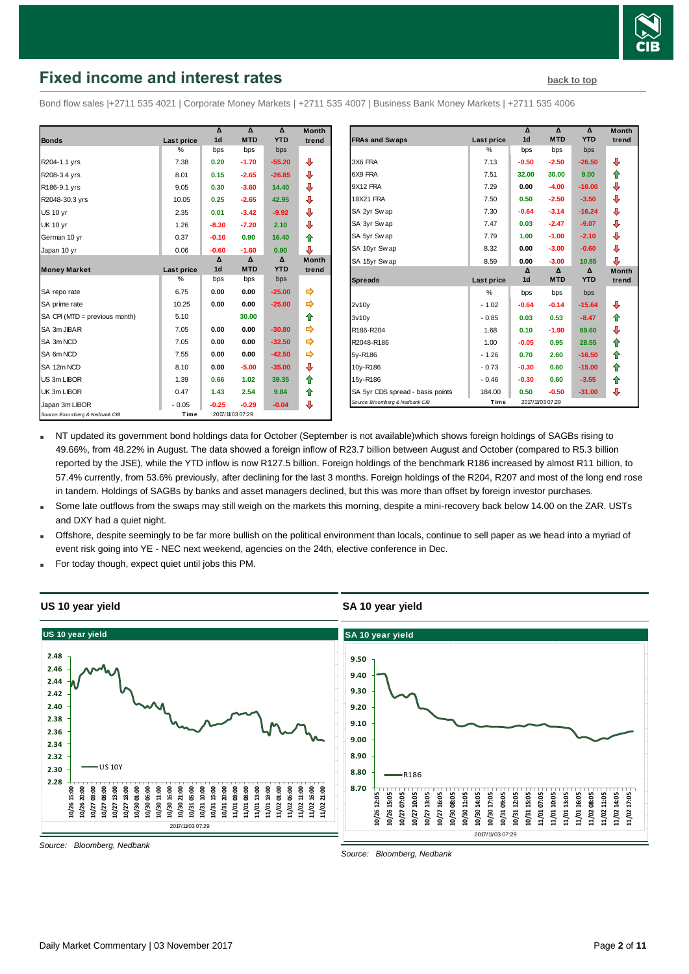

## <span id="page-1-0"></span>**Fixed income and interest rates [back to top](#page-0-0)** back to top

Bond flow sales |+2711 535 4021 | Corporate Money Markets | +2711 535 4007 | Business Bank Money Markets | +2711 535 4006

|                                 |            | Δ              | Δ               | Δ          | <b>Month</b> |
|---------------------------------|------------|----------------|-----------------|------------|--------------|
| <b>Bonds</b>                    | Last price | 1d             | <b>MTD</b>      | <b>YTD</b> | trend        |
|                                 | %          | bps            | bps             | bps        |              |
| R204-1.1 yrs                    | 7.38       | 0.20           | $-1.70$         | $-55.20$   | ⊕            |
| R208-3.4 yrs                    | 8.01       | 0.15           | $-2.65$         | $-26.85$   | ⊕            |
| R186-9.1 yrs                    | 9.05       | 0.30           | $-3.60$         | 14.40      | ⊕            |
| R2048-30.3 yrs                  | 10.05      | 0.25           | $-2.65$         | 42.95      | ⊕            |
| <b>US 10 yr</b>                 | 2.35       | 0.01           | $-3.42$         | $-9.92$    | ⊕            |
| <b>UK 10 yr</b>                 | 1.26       | $-8.30$        | $-7.20$         | 2.10       | ⊕            |
| German 10 yr                    | 0.37       | $-0.10$        | 0.90            | 16.40      | ⇑            |
| Japan 10 yr                     | 0.06       | $-0.60$        | $-1.60$         | 0.90       | ⊕            |
|                                 |            | Δ              | Δ               | Δ          | <b>Month</b> |
| <b>Money Market</b>             | Last price | 1 <sub>d</sub> | <b>MTD</b>      | <b>YTD</b> | trend        |
|                                 | %          | bps            | bps             | bps        |              |
| SA repo rate                    | 6.75       | 0.00           | 0.00            | $-25.00$   | ⇛            |
| SA prime rate                   | 10.25      | 0.00           | 0.00            | $-25.00$   | ➾            |
| SA CPI (MTD = previous month)   | 5.10       |                | 30.00           |            | ✿            |
| SA 3m JIBAR                     | 7.05       | 0.00           | 0.00            | $-30.80$   |              |
| SA 3m NCD                       | 7.05       | 0.00           | 0.00            | $-32.50$   |              |
| SA 6m NCD                       | 7.55       | 0.00           | 0.00            | $-42.50$   |              |
| SA 12m NCD                      | 8.10       | 0.00           | $-5.00$         | $-35.00$   | ⊕            |
| US 3m LIBOR                     | 1.39       | 0.66           | 1.02            | 39.35      | ⇑            |
| UK 3m LIBOR                     | 0.47       | 1.43           | 2.54            | 9.84       | ✿            |
| Japan 3m LIBOR                  | $-0.05$    | $-0.25$        | $-0.29$         | $-0.04$    | ⊕            |
| Source: Bloomberg & Nedbank CIB | Time       |                | 2017/1/03 07:29 |            |              |

| Month |                                  |            | Δ              | Δ               | Δ          | <b>Month</b> |
|-------|----------------------------------|------------|----------------|-----------------|------------|--------------|
| trend | <b>FRAs and Swaps</b>            | Last price | 1 <sub>d</sub> | <b>MTD</b>      | <b>YTD</b> | trend        |
|       |                                  | $\%$       | bps            | bps             | bps        |              |
| ⊕     | 3X6 FRA                          | 7.13       | $-0.50$        | $-2.50$         | $-26.50$   | ⊕            |
| ⊕     | 6X9 FRA                          | 7.51       | 32.00          | 30.00           | 9.00       | 合            |
| ⊕     | 9X12 FRA                         | 7.29       | 0.00           | $-4.00$         | $-16.00$   | ⊕            |
| ⊕     | <b>18X21 FRA</b>                 | 7.50       | 0.50           | $-2.50$         | $-3.50$    | ⊕            |
| ⊕     | SA 2yr Swap                      | 7.30       | $-0.64$        | $-3.14$         | $-16.24$   | ⊕            |
| ⊕     | SA 3yr Swap                      | 7.47       | 0.03           | $-2.47$         | $-9.07$    | ₽            |
| 合     | SA 5yr Sw ap                     | 7.79       | 1.00           | $-1.00$         | $-2.10$    | ⊕            |
| ⊕     | SA 10yr Swap                     | 8.32       | 0.00           | $-3.00$         | $-0.60$    | ⊕            |
| Month | SA 15yr Sw ap                    | 8.59       | 0.00           | $-3.00$         | 10.85      | ⊕            |
| trend |                                  |            | Δ              | $\Delta$        | Δ          | <b>Month</b> |
|       | <b>Spreads</b>                   | Last price | 1 <sub>d</sub> | <b>MTD</b>      | <b>YTD</b> | trend        |
| ➾     |                                  | %          | bps            | bps             | bps        |              |
| ⇛     | 2v10v                            | $-1.02$    | $-0.64$        | $-0.14$         | $-15.64$   | ⊕            |
| 合     | 3v10v                            | $-0.85$    | 0.03           | 0.53            | $-8.47$    | ⇑            |
|       | R186-R204                        | 1.68       | 0.10           | $-1.90$         | 69.60      | ⊕            |
|       | R2048-R186                       | 1.00       | $-0.05$        | 0.95            | 28.55      | 合            |
| ⇛     | 5y-R186                          | $-1.26$    | 0.70           | 2.60            | $-16.50$   | ⇑            |
| ⊕     | 10y-R186                         | $-0.73$    | $-0.30$        | 0.60            | $-15.00$   | 合            |
| ✿     | 15y-R186                         | $-0.46$    | $-0.30$        | 0.60            | $-3.55$    | 合            |
| 合     | SA 5yr CDS spread - basis points | 184.00     | 0.50           | $-0.50$         | $-31.00$   | ⊕            |
| ⊕     | Source: Bloomberg & Nedbank CIB  | Time       |                | 2017/1/03 07:29 |            |              |

NT updated its government bond holdings data for October (September is not available)which shows foreign holdings of SAGBs rising to 49.66%, from 48.22% in August. The data showed a foreign inflow of R23.7 billion between August and October (compared to R5.3 billion reported by the JSE), while the YTD inflow is now R127.5 billion. Foreign holdings of the benchmark R186 increased by almost R11 billion, to 57.4% currently, from 53.6% previously, after declining for the last 3 months. Foreign holdings of the R204, R207 and most of the long end rose in tandem. Holdings of SAGBs by banks and asset managers declined, but this was more than offset by foreign investor purchases.

- Some late outflows from the swaps may still weigh on the markets this morning, despite a mini-recovery back below 14.00 on the ZAR. USTs and DXY had a quiet night.
- Offshore, despite seemingly to be far more bullish on the political environment than locals, continue to sell paper as we head into a myriad of event risk going into YE - NEC next weekend, agencies on the 24th, elective conference in Dec.
- For today though, expect quiet until jobs this PM.



*Source: Bloomberg, Nedbank*

*Source: Bloomberg, Nedbank*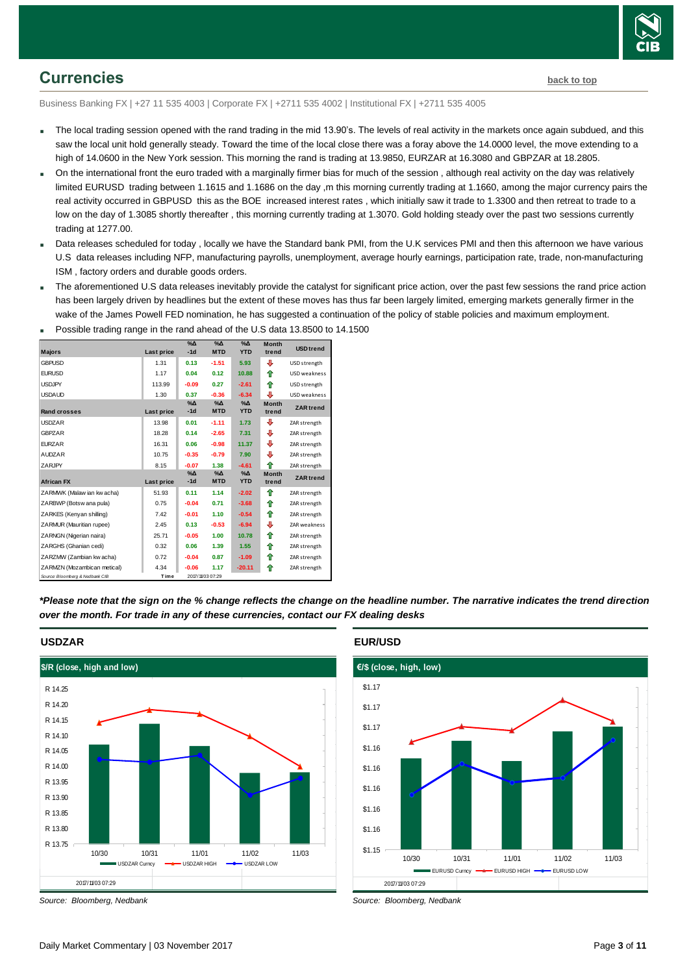

### <span id="page-2-0"></span>**Currencies [back to top](#page-0-0)**

Business Banking FX | +27 11 535 4003 | Corporate FX | +2711 535 4002 | Institutional FX | +2711 535 4005

- The local trading session opened with the rand trading in the mid 13.90's. The levels of real activity in the markets once again subdued, and this saw the local unit hold generally steady. Toward the time of the local close there was a foray above the 14.0000 level, the move extending to a high of 14.0600 in the New York session. This morning the rand is trading at 13.9850, EURZAR at 16.3080 and GBPZAR at 18.2805.
- On the international front the euro traded with a marginally firmer bias for much of the session , although real activity on the day was relatively limited EURUSD trading between 1.1615 and 1.1686 on the day ,m this morning currently trading at 1.1660, among the major currency pairs the real activity occurred in GBPUSD this as the BOE increased interest rates , which initially saw it trade to 1.3300 and then retreat to trade to a low on the day of 1.3085 shortly thereafter , this morning currently trading at 1.3070. Gold holding steady over the past two sessions currently trading at 1277.00.
- Data releases scheduled for today , locally we have the Standard bank PMI, from the U.K services PMI and then this afternoon we have various U.S data releases including NFP, manufacturing payrolls, unemployment, average hourly earnings, participation rate, trade, non-manufacturing ISM , factory orders and durable goods orders.
- The aforementioned U.S data releases inevitably provide the catalyst for significant price action, over the past few sessions the rand price action has been largely driven by headlines but the extent of these moves has thus far been largely limited, emerging markets generally firmer in the wake of the James Powell FED nomination, he has suggested a continuation of the policy of stable policies and maximum employment.

| i ooono maanig rango in mo rana anoaa or mo oto aala 10.00 |                   |                        |                                 |                             |                       |                     |
|------------------------------------------------------------|-------------------|------------------------|---------------------------------|-----------------------------|-----------------------|---------------------|
| <b>Majors</b>                                              | <b>Last price</b> | $\%$ $\Delta$<br>$-1d$ | $\gamma_0 \Delta$<br><b>MTD</b> | $\%$ $\Delta$<br><b>YTD</b> | <b>Month</b><br>trend | <b>USD</b> trend    |
| <b>GBPUSD</b>                                              | 1.31              | 0.13                   | $-1.51$                         | 5.93                        | ⊕                     | USD strength        |
| <b>EURUSD</b>                                              | 1.17              | 0.04                   | 0.12                            | 10.88                       | ⇑                     | USD weakness        |
| <b>USDJPY</b>                                              | 113.99            | $-0.09$                | 0.27                            | $-2.61$                     | ♠                     | USD strength        |
| <b>USDAUD</b>                                              | 1.30              | 0.37                   | $-0.36$                         | $-6.34$                     | ⊕                     | USD weakness        |
| <b>Rand crosses</b>                                        | <b>Last price</b> | $\%$ $\Delta$<br>$-1d$ | $% \Delta$<br><b>MTD</b>        | $\%$ $\Delta$<br><b>YTD</b> | <b>Month</b><br>trend | <b>ZAR</b> trend    |
| <b>USDZAR</b>                                              | 13.98             | 0.01                   | $-1.11$                         | 1.73                        | ⊕                     | ZAR strength        |
| <b>GBPZAR</b>                                              | 18.28             | 0.14                   | $-2.65$                         | 7.31                        | ⊕                     | ZAR strength        |
| <b>EURZAR</b>                                              | 16.31             | 0.06                   | $-0.98$                         | 11.37                       | ⊕                     | ZAR strength        |
| <b>AUDZAR</b>                                              | 10.75             | $-0.35$                | $-0.79$                         | 7.90                        | J                     | ZAR strength        |
| <b>ZARJPY</b>                                              | 8.15              | $-0.07$                | 1.38                            | $-4.61$                     | ⇑                     | ZAR strength        |
| <b>African FX</b>                                          | Last price        | $\%$ $\Delta$<br>$-1d$ | $\%$ $\Delta$<br><b>MTD</b>     | $\%$ $\Delta$<br><b>YTD</b> | <b>Month</b><br>trend | <b>ZAR</b> trend    |
| ZARMWK (Malaw ian kw acha)                                 | 51.93             | 0.11                   | 1.14                            | $-2.02$                     | ⇮                     | ZAR strength        |
| ZARBWP (Botsw ana pula)                                    | 0.75              | $-0.04$                | 0.71                            | $-3.68$                     | ♠                     | ZAR strength        |
| ZARKES (Kenyan shilling)                                   | 7.42              | $-0.01$                | 1.10                            | $-0.54$                     | ⇮                     | ZAR strength        |
| ZARMUR (Mauritian rupee)                                   | 2.45              | 0.13                   | $-0.53$                         | $-6.94$                     | ⊕                     | <b>ZAR</b> weakness |
| ZARNGN (Nigerian naira)                                    | 25.71             | $-0.05$                | 1.00                            | 10.78                       | ⇑                     | ZAR strength        |
| ZARGHS (Ghanian cedi)                                      | 0.32              | 0.06                   | 1.39                            | 1.55                        | ⇮                     | ZAR strength        |
| ZARZMW (Zambian kw acha)                                   | 0.72              | $-0.04$                | 0.87                            | $-1.09$                     | ⇮                     | ZAR strength        |
| ZARMZN (Mozambican metical)                                | 4.34              | $-0.06$                | 1.17                            | $-20.11$                    | ⇑                     | ZAR strength        |
| Source: Bloomberg & Nedbank CIB                            | Time              |                        | 2017/11/03 07:29                |                             |                       |                     |

Possible trading range in the rand ahead of the U.S data 13.8500 to 14.1500

*\*Please note that the sign on the % change reflects the change on the headline number. The narrative indicates the trend direction over the month. For trade in any of these currencies, contact our FX dealing desks*



*Source: Bloomberg, Nedbank*

#### **EUR/USD**



*Source: Bloomberg, Nedbank*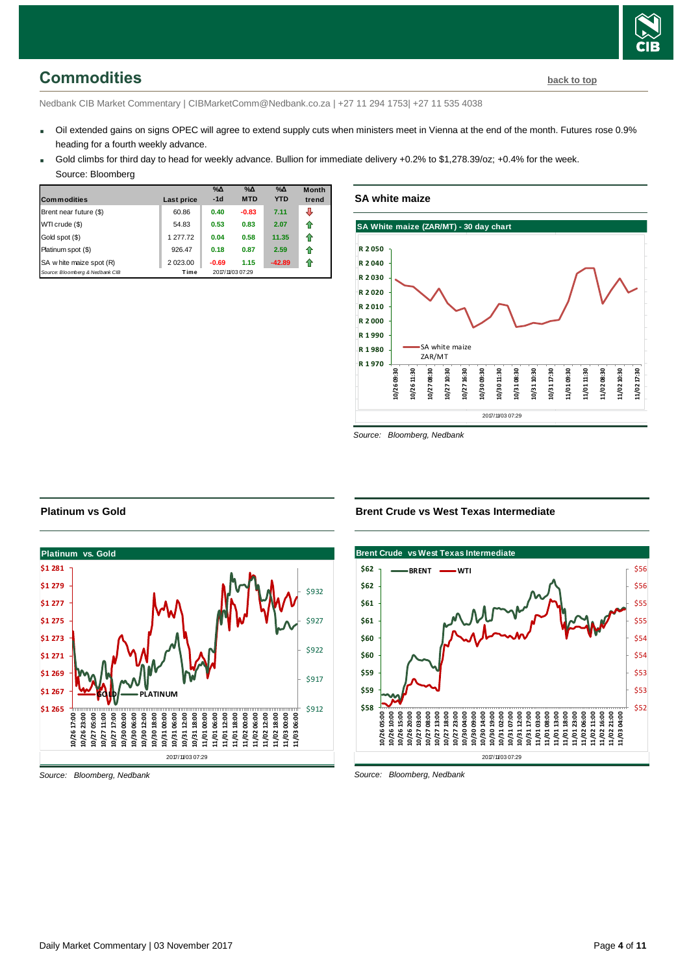# <span id="page-3-0"></span>**Commodities [back to top](#page-0-0)**

Nedbank CIB Market Commentary | CIBMarketComm@Nedbank.co.za | +27 11 294 1753| +27 11 535 4038

- Oil extended gains on signs OPEC will agree to extend supply cuts when ministers meet in Vienna at the end of the month. Futures rose 0.9% heading for a fourth weekly advance.
- Gold climbs for third day to head for weekly advance. Bullion for immediate delivery +0.2% to \$1,278.39/oz; +0.4% for the week. Source: Bloomberg

| <b>Commodities</b>              | Last price | $\%$ $\Delta$<br>$-1d$ | $\%$ $\Delta$<br><b>MTD</b> | $\%$ $\Delta$<br><b>YTD</b> | <b>Month</b><br>trend |
|---------------------------------|------------|------------------------|-----------------------------|-----------------------------|-----------------------|
| Brent near future (\$)          | 60.86      | 0.40                   | $-0.83$                     | 7.11                        | ⊕                     |
| WTI crude (\$)                  | 54.83      | 0.53                   | 0.83                        | 2.07                        | ⇑                     |
| Gold spot (\$)                  | 1 277.72   | 0.04                   | 0.58                        | 11.35                       | ⇑                     |
| Platinum spot (\$)              | 926.47     | 0.18                   | 0.87                        | 2.59                        | ⇑                     |
| SA w hite maize spot (R)        | 2 023.00   | $-0.69$                | 1.15                        | $-42.89$                    | 11                    |
| Source: Bloomberg & Nedbank CIB | Time       |                        | 2017/11/03 07:29            |                             |                       |

**SA white maize**



*Source: Bloomberg, Nedbank*

#### **Brent Crude vs West Texas Intermediate**



*Source: Bloomberg, Nedbank*

#### **Platinum vs Gold**



*Source: Bloomberg, Nedbank*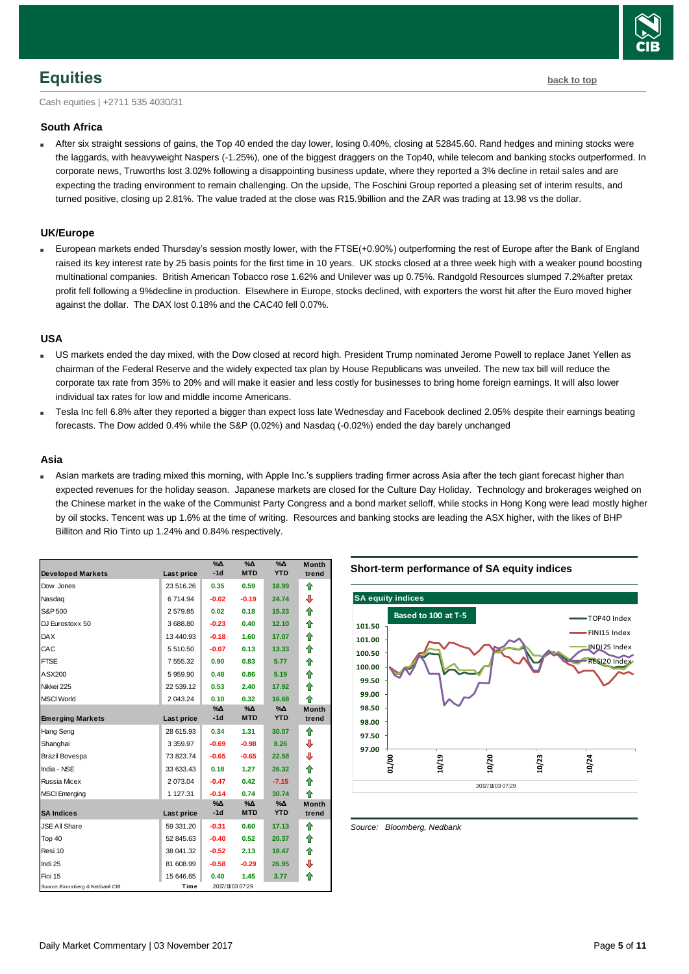### <span id="page-4-0"></span>**Equities [back to top](#page-0-0)**

Cash equities | +2711 535 4030/31

#### **South Africa**

 After six straight sessions of gains, the Top 40 ended the day lower, losing 0.40%, closing at 52845.60. Rand hedges and mining stocks were the laggards, with heavyweight Naspers (-1.25%), one of the biggest draggers on the Top40, while telecom and banking stocks outperformed. In corporate news, Truworths lost 3.02% following a disappointing business update, where they reported a 3% decline in retail sales and are expecting the trading environment to remain challenging. On the upside, The Foschini Group reported a pleasing set of interim results, and turned positive, closing up 2.81%. The value traded at the close was R15.9billion and the ZAR was trading at 13.98 vs the dollar.

#### **UK/Europe**

 European markets ended Thursday's session mostly lower, with the FTSE(+0.90%) outperforming the rest of Europe after the Bank of England raised its key interest rate by 25 basis points for the first time in 10 years. UK stocks closed at a three week high with a weaker pound boosting multinational companies. British American Tobacco rose 1.62% and Unilever was up 0.75%. Randgold Resources slumped 7.2%after pretax profit fell following a 9%decline in production. Elsewhere in Europe, stocks declined, with exporters the worst hit after the Euro moved higher against the dollar. The DAX lost 0.18% and the CAC40 fell 0.07%.

#### **USA**

- US markets ended the day mixed, with the Dow closed at record high. President Trump nominated Jerome Powell to replace Janet Yellen as chairman of the Federal Reserve and the widely expected tax plan by House Republicans was unveiled. The new tax bill will reduce the corporate tax rate from 35% to 20% and will make it easier and less costly for businesses to bring home foreign earnings. It will also lower individual tax rates for low and middle income Americans.
- Tesla Inc fell 6.8% after they reported a bigger than expect loss late Wednesday and Facebook declined 2.05% despite their earnings beating forecasts. The Dow added 0.4% while the S&P (0.02%) and Nasdaq (-0.02%) ended the day barely unchanged

#### **Asia**

 Asian markets are trading mixed this morning, with Apple Inc.'s suppliers trading firmer across Asia after the tech giant forecast higher than expected revenues for the holiday season. Japanese markets are closed for the Culture Day Holiday. Technology and brokerages weighed on the Chinese market in the wake of the Communist Party Congress and a bond market selloff, while stocks in Hong Kong were lead mostly higher by oil stocks. Tencent was up 1.6% at the time of writing. Resources and banking stocks are leading the ASX higher, with the likes of BHP Billiton and Rio Tinto up 1.24% and 0.84% respectively.

| <b>Developed Markets</b>        | Last price    | $\% \Delta$<br>$-1d$ | %Δ<br><b>MTD</b> | %Δ<br><b>YTD</b> | <b>Month</b><br>trend |
|---------------------------------|---------------|----------------------|------------------|------------------|-----------------------|
| Dow Jones                       | 23 516.26     | 0.35                 | 0.59             | 18.99            | ⇮                     |
| Nasdag                          | 6714.94       | $-0.02$              | $-0.19$          | 24.74            | ⊕                     |
| S&P 500                         | 2579.85       | 0.02                 | 0.18             | 15.23            | ♠                     |
| DJ Eurostoxx 50                 | 3688.80       | $-0.23$              | 0.40             | 12.10            | ⇑                     |
| <b>DAX</b>                      | 13 440.93     | $-0.18$              | 1.60             | 17.07            | 合                     |
| CAC                             | 5 510.50      | $-0.07$              | 0.13             | 13.33            | 合                     |
| <b>FTSE</b>                     | 7 555.32      | 0.90                 | 0.83             | 5.77             | ⇮                     |
| ASX200                          | 5959.90       | 0.48                 | 0.86             | 5.19             | ♠                     |
| Nikkei 225                      | 22 539.12     | 0.53                 | 2.40             | 17.92            | ⇑                     |
| <b>MSCI World</b>               | 2 043.24      | 0.10                 | 0.32             | 16.68            | 全                     |
| <b>Emerging Markets</b>         | Last price    | %∆<br>$-1d$          | %Δ<br><b>MTD</b> | %Δ<br><b>YTD</b> | <b>Month</b><br>trend |
| Hang Seng                       | 28 615.93     | 0.34                 | 1.31             | 30.07            | ⇑                     |
| Shanghai                        | 3 3 5 9 . 9 7 | $-0.69$              | $-0.98$          | 8.26             | ⊕                     |
| Brazil Bovespa                  | 73 823.74     | $-0.65$              | $-0.65$          | 22.58            | ⇩                     |
| India - NSE                     | 33 633.43     | 0.18                 | 1.27             | 26.32            | ⇑                     |
| <b>Russia Micex</b>             | 2 073.04      | $-0.47$              | 0.42             | $-7.15$          | ⇑                     |
| <b>MSCI</b> Emerging            | 1 127.31      | $-0.14$              | 0.74             | 30.74            | ♠                     |
|                                 |               | %Δ                   | %Δ               | %Δ               | <b>Month</b>          |
| <b>SA Indices</b>               | Last price    | $-1d$                | <b>MTD</b>       | <b>YTD</b>       | trend                 |
| <b>JSE All Share</b>            | 59 331.20     | $-0.31$              | 0.60             | 17.13            | ♠                     |
| Top 40                          | 52 845.63     | $-0.40$              | 0.52             | 20.37            | ⇑                     |
| Resi 10                         | 38 041.32     | $-0.52$              | 2.13             | 18.47            | 合                     |
| Indi 25                         | 81 608.99     | $-0.58$              | $-0.29$          | 26.95            | ⊕                     |
| Fini 15                         | 15 646.65     | 0.40                 | 1.45             | 3.77             | ⇑                     |
| Source: Bloomberg & Nedbank CIB | Time          |                      | 2017/1/03 07:29  |                  |                       |

#### **Short-term performance of SA equity indices**



<span id="page-4-1"></span>*Source: Bloomberg, Nedbank*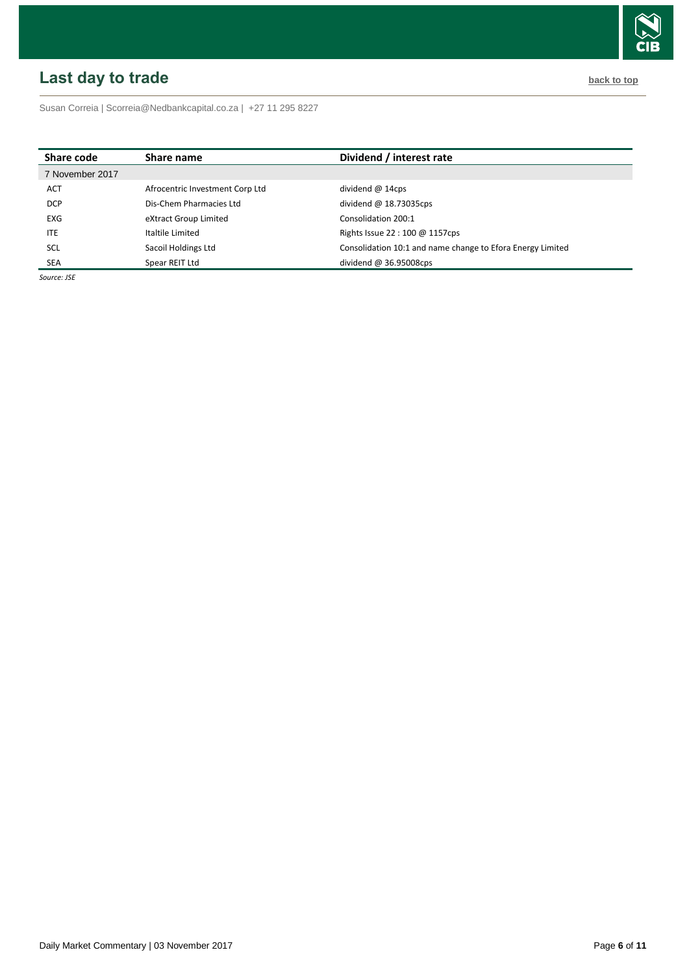# <span id="page-5-0"></span>**Last day to trade back to the contract of the contract of the contract of the contract of the contract of the contract of the contract of the contract of the contract of the contract of the contract of the contract of t**



Susan Correia [| Scorreia@Nedbankcapital.co.za](mailto:Scorreia@Nedbankcapital.co.za) | +27 11 295 8227

| Share code      | Share name                      | Dividend / interest rate                                   |
|-----------------|---------------------------------|------------------------------------------------------------|
| 7 November 2017 |                                 |                                                            |
| <b>ACT</b>      | Afrocentric Investment Corp Ltd | dividend $@$ 14cps                                         |
| <b>DCP</b>      | Dis-Chem Pharmacies Ltd         | dividend $@$ 18.73035cps                                   |
| <b>EXG</b>      | eXtract Group Limited           | Consolidation 200:1                                        |
| <b>ITE</b>      | Italtile Limited                | Rights Issue 22:100 @ 1157cps                              |
| <b>SCL</b>      | Sacoil Holdings Ltd             | Consolidation 10:1 and name change to Efora Energy Limited |
| <b>SEA</b>      | Spear REIT Ltd                  | dividend $@36.95008$ cps                                   |

*Source: JSE*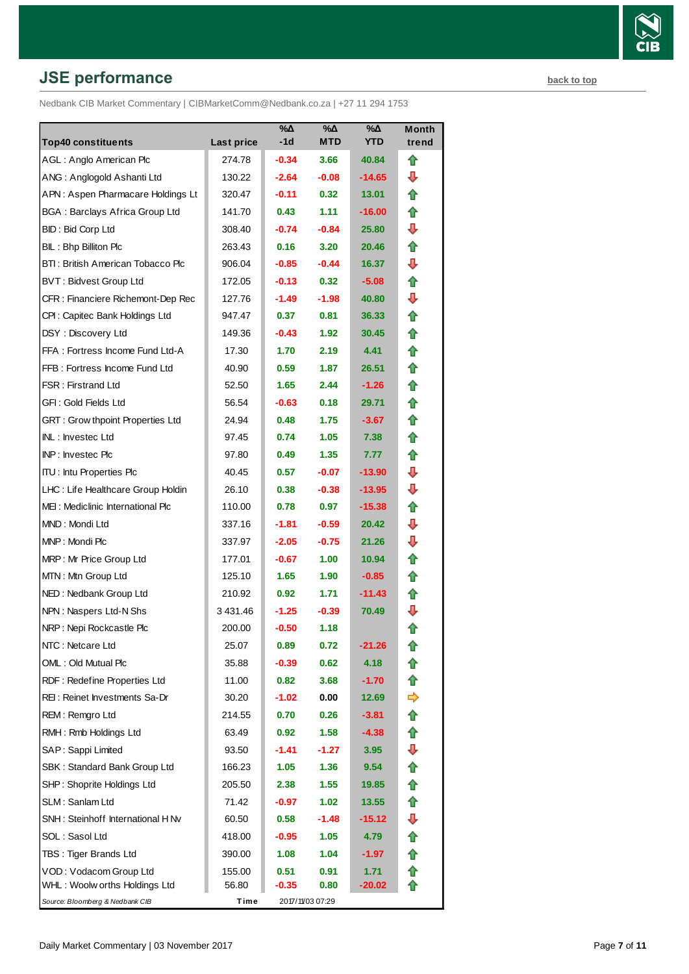# **JSE performance [back to top](#page-0-0) back to top**

Nedbank CIB Market Commentary | CIBMarketComm@Nedbank.co.za | +27 11 294 1753

| <b>Top40 constituents</b>               | Last price    | %Δ<br>-1d         | %Δ<br>MTD        | %Δ<br><b>YTD</b> | Month<br>trend |
|-----------------------------------------|---------------|-------------------|------------------|------------------|----------------|
| AGL: Anglo American Plc                 | 274.78        | $-0.34$           | 3.66             | 40.84            | ⇑              |
| ANG: Anglogold Ashanti Ltd              | 130.22        | $-2.64$           | $-0.08$          | -14.65           | ⊕              |
| APN: Aspen Pharmacare Holdings Lt       | 320.47        | $-0.11$           | 0.32             | 13.01            | ⇑              |
| <b>BGA: Barclays Africa Group Ltd</b>   | 141.70        | 0.43              | 1.11             | $-16.00$         | ⇑              |
| BID: Bid Corp Ltd                       | 308.40        | $-0.74$           | $-0.84$          | 25.80            | ⊕              |
| BIL: Bhp Billiton Plc                   | 263.43        | 0.16              | 3.20             | 20.46            | ⇑              |
| BTI: British American Tobacco Plc       | 906.04        | $-0.85$           | $-0.44$          | 16.37            | ⊕              |
| <b>BVT: Bidvest Group Ltd</b>           | 172.05        | $-0.13$           | 0.32             | $-5.08$          | ⇑              |
| CFR : Financiere Richemont-Dep Rec      | 127.76        | $-1.49$           | $-1.98$          | 40.80            | ⊕              |
| CPI: Capitec Bank Holdings Ltd          | 947.47        | 0.37              | 0.81             | 36.33            | ⇑              |
| DSY: Discovery Ltd                      | 149.36        | $-0.43$           | 1.92             | 30.45            | n              |
| FFA: Fortress Income Fund Ltd-A         | 17.30         | 1.70              | 2.19             | 4.41             | ⇑              |
| FFB: Fortress Income Fund Ltd           | 40.90         | 0.59              | 1.87             | 26.51            | ⇑              |
| <b>FSR: Firstrand Ltd</b>               | 52.50         | 1.65              | 2.44             | $-1.26$          | ⇑              |
| GFI: Gold Fields Ltd                    | 56.54         | $-0.63$           | 0.18             | 29.71            | n              |
| <b>GRT: Grow thpoint Properties Ltd</b> | 24.94         | 0.48              | 1.75             | $-3.67$          | ⇑              |
| INL: Investec Ltd                       | 97.45         | 0.74              | 1.05             | 7.38             | ⇑              |
| INP: Investec Plc                       | 97.80         | 0.49              | 1.35             | 7.77             | ⇑              |
| <b>ITU:</b> Intu Properties Plc         | 40.45         | 0.57              | $-0.07$          | -13.90           | ⊕              |
| LHC: Life Healthcare Group Holdin       | 26.10         | 0.38              | $-0.38$          | -13.95           | ┺              |
| MEI: Mediclinic International Plc       | 110.00        | 0.78              | 0.97             | $-15.38$         | ⇑              |
| MND: Mondi Ltd                          | 337.16        | $-1.81$           | $-0.59$          | 20.42            | ⊕              |
| MNP: Mondi Plc                          | 337.97        | $-2.05$           | $-0.75$          | 21.26            | ┺              |
| MRP: Mr Price Group Ltd                 | 177.01        | $-0.67$           | 1.00             | 10.94            | ⇑              |
| MTN: Mtn Group Ltd                      | 125.10        | 1.65              | 1.90             | $-0.85$          | ⇑              |
| NED: Nedbank Group Ltd                  | 210.92        | 0.92 <sub>1</sub> | 1.71             | -11.43           | ⇑              |
| NPN: Naspers Ltd-N Shs                  | 3 4 3 1 . 4 6 | $-1.25$           | $-0.39$          | 70.49            | ⊕              |
| NRP: Nepi Rockcastle Plc                | 200.00        | $-0.50$           | 1.18             |                  | ✿              |
| NTC: Netcare Ltd                        | 25.07         | 0.89              | 0.72             | -21.26           | 10             |
| OML: Old Mutual Plc                     | 35.88         | $-0.39$           | 0.62             | 4.18             |                |
| RDF: Redefine Properties Ltd            | 11.00         | 0.82              | 3.68             | $-1.70$          | ⇑              |
| REI: Reinet Investments Sa-Dr           | 30.20         | $-1.02$           | 0.00             | 12.69            | ➾              |
| REM: Remgro Ltd                         | 214.55        | 0.70              | 0.26             | -3.81            | ⇑              |
| RMH: Rmb Holdings Ltd                   | 63.49         | 0.92              | 1.58             | $-4.38$          | ⇑              |
| SAP: Sappi Limited                      | 93.50         | -1.41             | $-1.27$          | 3.95             | ⊕              |
| SBK: Standard Bank Group Ltd            | 166.23        | 1.05              | 1.36             | 9.54             | ⇑              |
| SHP: Shoprite Holdings Ltd              | 205.50        | 2.38              | 1.55             | 19.85            | T              |
| SLM: Sanlam Ltd                         | 71.42         | -0.97             | 1.02             | 13.55            | ⇑              |
| SNH: Steinhoff International H Nv       | 60.50         | 0.58              | $-1.48$          | -15.12           | ⇩              |
| SOL: Sasol Ltd                          | 418.00        | $-0.95$           | 1.05             | 4.79             | ⇑              |
| TBS: Tiger Brands Ltd                   | 390.00        | 1.08              | 1.04             | -1.97            |                |
| VOD: Vodacom Group Ltd                  | 155.00        | 0.51              | 0.91             | 1.71             |                |
| WHL: Woolw orths Holdings Ltd           | 56.80         | -0.35             | 0.80             | $-20.02$         |                |
| Source: Bloomberg & Nedbank CIB         | Time          |                   | 2017/11/03 07:29 |                  |                |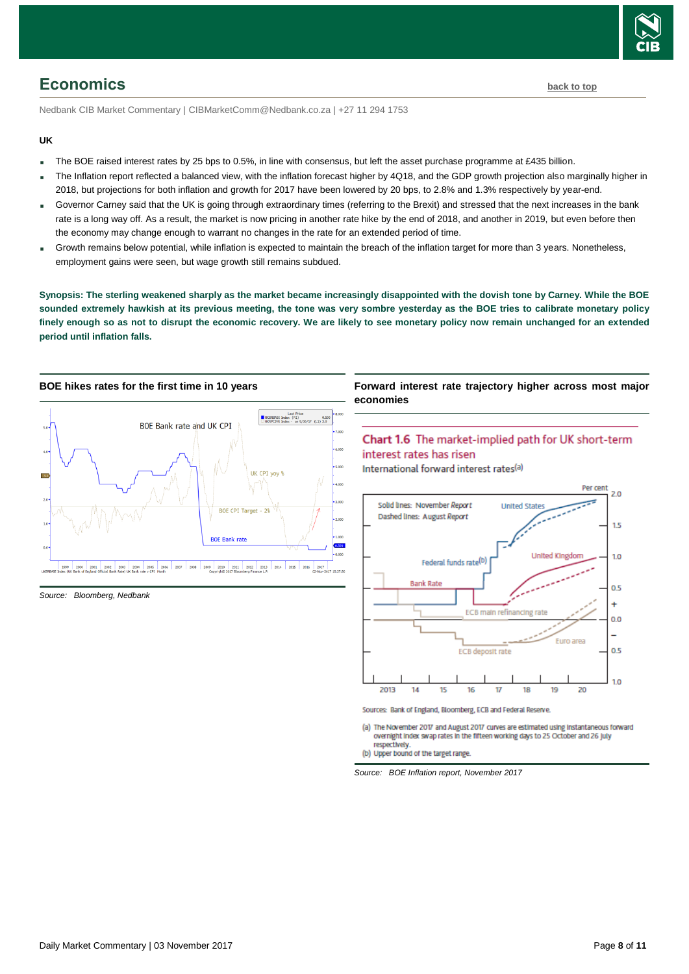

<span id="page-7-0"></span>Nedbank CIB Market Commentary | CIBMarketComm@Nedbank.co.za | +27 11 294 1753

#### **UK**

- The BOE raised interest rates by 25 bps to 0.5%, in line with consensus, but left the asset purchase programme at £435 billion.
- The Inflation report reflected a balanced view, with the inflation forecast higher by 4Q18, and the GDP growth projection also marginally higher in 2018, but projections for both inflation and growth for 2017 have been lowered by 20 bps, to 2.8% and 1.3% respectively by year-end.
- Governor Carney said that the UK is going through extraordinary times (referring to the Brexit) and stressed that the next increases in the bank rate is a long way off. As a result, the market is now pricing in another rate hike by the end of 2018, and another in 2019, but even before then the economy may change enough to warrant no changes in the rate for an extended period of time.
- Growth remains below potential, while inflation is expected to maintain the breach of the inflation target for more than 3 years. Nonetheless, employment gains were seen, but wage growth still remains subdued.

**Synopsis: The sterling weakened sharply as the market became increasingly disappointed with the dovish tone by Carney. While the BOE sounded extremely hawkish at its previous meeting, the tone was very sombre yesterday as the BOE tries to calibrate monetary policy finely enough so as not to disrupt the economic recovery. We are likely to see monetary policy now remain unchanged for an extended period until inflation falls.** 



*Source: Bloomberg, Nedbank*

#### **Forward interest rate trajectory higher across most major economies**



International forward interest rates<sup>(a)</sup>



Sources: Bank of England, Bloomberg, ECB and Federal Reserve.

(a) The November 2017 and August 2017 curves are estimated using instantaneous forward overnight index swap rates in the fifteen working days to 25 October and 26 july respectively

(b) Upper bound of the target range.

*Source: BOE Inflation report, November 2017*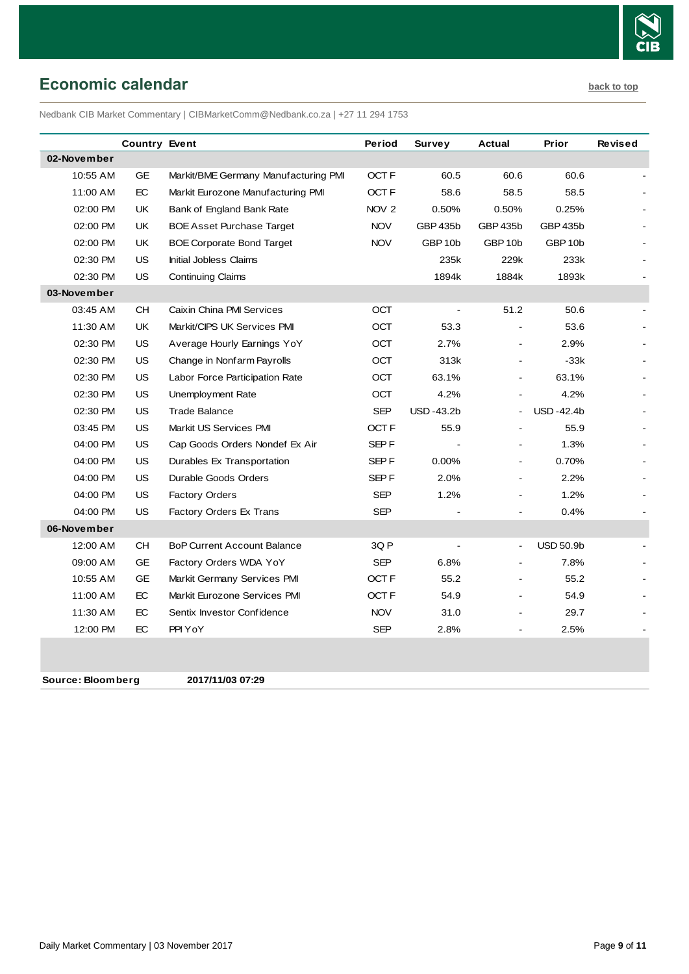

### <span id="page-8-0"></span>**Economic calendar [back to top](#page-0-0)**

Nedbank CIB Market Commentary | CIBMarketComm@Nedbank.co.za | +27 11 294 1753

|             | <b>Country Event</b> |                                      | Period           | Survey             | Actual                   | Prior              | <b>Revised</b> |
|-------------|----------------------|--------------------------------------|------------------|--------------------|--------------------------|--------------------|----------------|
| 02-November |                      |                                      |                  |                    |                          |                    |                |
| 10:55 AM    | <b>GE</b>            | Markit/BME Germany Manufacturing PMI | OCT F            | 60.5               | 60.6                     | 60.6               |                |
| 11:00 AM    | EC                   | Markit Eurozone Manufacturing PMI    | OCT F            | 58.6               | 58.5                     | 58.5               |                |
| 02:00 PM    | UK                   | Bank of England Bank Rate            | NOV <sub>2</sub> | 0.50%              | 0.50%                    | 0.25%              |                |
| 02:00 PM    | UK                   | <b>BOE Asset Purchase Target</b>     | <b>NOV</b>       | GBP 435b           | GBP 435b                 | <b>GBP 435b</b>    |                |
| 02:00 PM    | UK                   | <b>BOE Corporate Bond Target</b>     | <b>NOV</b>       | GBP <sub>10b</sub> | GBP <sub>10b</sub>       | GBP <sub>10b</sub> |                |
| 02:30 PM    | <b>US</b>            | <b>Initial Jobless Claims</b>        |                  | 235k               | 229k                     | 233k               |                |
| 02:30 PM    | US                   | <b>Continuing Claims</b>             |                  | 1894k              | 1884k                    | 1893k              |                |
| 03-November |                      |                                      |                  |                    |                          |                    |                |
| 03:45 AM    | <b>CH</b>            | Caixin China PMI Services            | OCT              |                    | 51.2                     | 50.6               |                |
| 11:30 AM    | UK                   | Markit/CIPS UK Services PMI          | <b>OCT</b>       | 53.3               |                          | 53.6               |                |
| 02:30 PM    | US                   | Average Hourly Earnings YoY          | OCT              | 2.7%               | $\blacksquare$           | 2.9%               |                |
| 02:30 PM    | US                   | Change in Nonfarm Payrolls           | OCT              | 313k               | $\overline{\phantom{a}}$ | $-33k$             |                |
| 02:30 PM    | <b>US</b>            | Labor Force Participation Rate       | OCT              | 63.1%              |                          | 63.1%              |                |
| 02:30 PM    | <b>US</b>            | Unemployment Rate                    | <b>OCT</b>       | 4.2%               |                          | 4.2%               |                |
| 02:30 PM    | <b>US</b>            | <b>Trade Balance</b>                 | <b>SEP</b>       | <b>USD-43.2b</b>   |                          | <b>USD-42.4b</b>   |                |
| 03:45 PM    | <b>US</b>            | Markit US Services PMI               | OCT F            | 55.9               |                          | 55.9               |                |
| 04:00 PM    | US                   | Cap Goods Orders Nondef Ex Air       | SEP <sub>F</sub> |                    |                          | 1.3%               |                |
| 04:00 PM    | <b>US</b>            | Durables Ex Transportation           | SEP F            | 0.00%              |                          | 0.70%              |                |
| 04:00 PM    | <b>US</b>            | Durable Goods Orders                 | SEP <sub>F</sub> | 2.0%               | $\blacksquare$           | 2.2%               |                |
| 04:00 PM    | <b>US</b>            | <b>Factory Orders</b>                | SEP              | 1.2%               |                          | 1.2%               |                |
| 04:00 PM    | <b>US</b>            | Factory Orders Ex Trans              | <b>SEP</b>       |                    |                          | 0.4%               |                |
| 06-November |                      |                                      |                  |                    |                          |                    |                |
| 12:00 AM    | CH                   | <b>BoP Current Account Balance</b>   | 3Q P             | $\blacksquare$     | $\blacksquare$           | <b>USD 50.9b</b>   |                |
| 09:00 AM    | <b>GE</b>            | Factory Orders WDA YoY               | <b>SEP</b>       | 6.8%               |                          | 7.8%               |                |
| 10:55 AM    | <b>GE</b>            | Markit Germany Services PMI          | OCT F            | 55.2               |                          | 55.2               |                |
| 11:00 AM    | EC                   | Markit Eurozone Services PMI         | OCT F            | 54.9               | ä,                       | 54.9               |                |
| 11:30 AM    | EC                   | Sentix Investor Confidence           | <b>NOV</b>       | 31.0               |                          | 29.7               |                |
| 12:00 PM    | EC                   | PPI YoY                              | SEP              | 2.8%               | $\overline{a}$           | 2.5%               |                |
|             |                      |                                      |                  |                    |                          |                    |                |

**Source: Bloomberg 2017/11/03 07:29**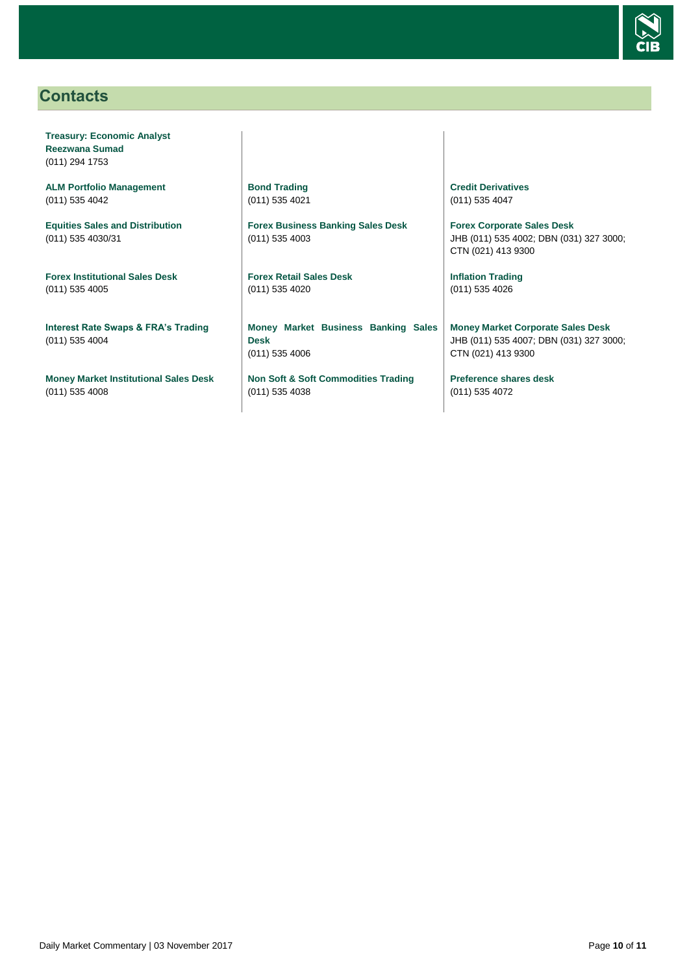

### <span id="page-9-0"></span>**Contacts**

**Treasury: Economic Analyst Reezwana Sumad** (011) 294 1753

**ALM Portfolio Management** (011) 535 4042

**Equities Sales and Distribution** (011) 535 4030/31

**Forex Institutional Sales Desk** (011) 535 4005

**Interest Rate Swaps & FRA's Trading** (011) 535 4004

**Money Market Institutional Sales Desk** (011) 535 4008

**Bond Trading** (011) 535 4021

**Forex Business Banking Sales Desk** (011) 535 4003

**Forex Retail Sales Desk** (011) 535 4020

**Money Market Business Banking Sales Desk** (011) 535 4006

**Non Soft & Soft Commodities Trading** (011) 535 4038

**Credit Derivatives**  (011) 535 4047

**Forex Corporate Sales Desk** JHB (011) 535 4002; DBN (031) 327 3000; CTN (021) 413 9300

**Inflation Trading** (011) 535 4026

**Money Market Corporate Sales Desk** JHB (011) 535 4007; DBN (031) 327 3000; CTN (021) 413 9300

**Preference shares desk** (011) 535 4072